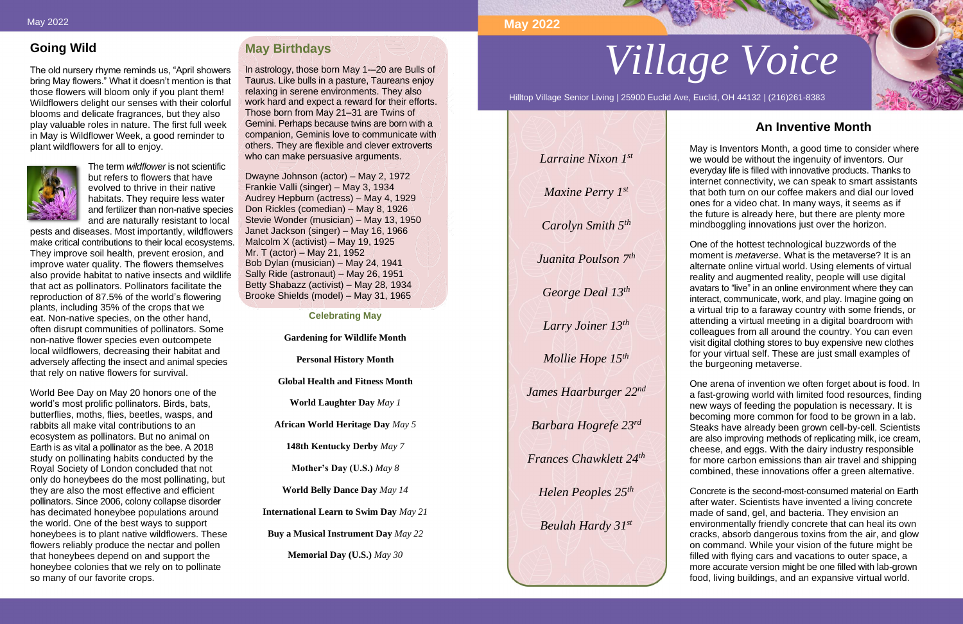# **Going Wild**

The old nursery rhyme reminds us, "April showers bring May flowers." What it doesn't mention is that those flowers will bloom only if you plant them! Wildflowers delight our senses with their colorful blooms and delicate fragrances, but they also play valuable roles in nature. The first full week in May is Wildflower Week, a good reminder to plant wildflowers for all to enjoy.



The term *wildflower* is not scientific but refers to flowers that have evolved to thrive in their native habitats. They require less water and fertilizer than non-native species and are naturally resistant to local

pests and diseases. Most importantly, wildflowers make critical contributions to their local ecosystems. They improve soil health, prevent erosion, and improve water quality. The flowers themselves also provide habitat to native insects and wildlife that act as pollinators. Pollinators facilitate the reproduction of 87.5% of the world's flowering plants, including 35% of the crops that we eat. Non-native species, on the other hand, often disrupt communities of pollinators. Some non-native flower species even outcompete local wildflowers, decreasing their habitat and adversely affecting the insect and animal species that rely on native flowers for survival.

World Bee Day on May 20 honors one of the world's most prolific pollinators. Birds, bats, butterflies, moths, flies, beetles, wasps, and rabbits all make vital contributions to an ecosystem as pollinators. But no animal on Earth is as vital a pollinator as the bee. A 2018 study on pollinating habits conducted by the Royal Society of London concluded that not only do honeybees do the most pollinating, but they are also the most effective and efficient pollinators. Since 2006, colony collapse disorder has decimated honeybee populations around the world. One of the best ways to support honeybees is to plant native wildflowers. These flowers reliably produce the nectar and pollen that honeybees depend on and support the honeybee colonies that we rely on to pollinate so many of our favorite crops.

# **May Birthdays**

In astrology, those born May 1-–20 are Bulls of Taurus. Like bulls in a pasture, Taureans enjoy relaxing in serene environments. They also work hard and expect a reward for their efforts. Those born from May 21–31 are Twins of Gemini. Perhaps because twins are born with a companion, Geminis love to communicate with others. They are flexible and clever extroverts who can make persuasive arguments.

Dwayne Johnson (actor) – May 2, 1972 Frankie Valli (singer) – May 3, 1934 Audrey Hepburn (actress) – May 4, 1929 Don Rickles (comedian) – May 8, 1926 Stevie Wonder (musician) – May 13, 1950 Janet Jackson (singer) – May 16, 1966 Malcolm X (activist) – May 19, 1925 Mr. T (actor) – May 21, 1952 Bob Dylan (musician) – May 24, 1941 Sally Ride (astronaut) – May 26, 1951 Betty Shabazz (activist) – May 28, 1934 Brooke Shields (model) – May 31, 1965

**Celebrating May**

**Gardening for Wildlife Month** 

**Personal History Month**

**Global Health and Fitness Month**

**World Laughter Day** *May 1*

**African World Heritage Day** *May 5*

**148th Kentucky Derby** *May 7*

**Mother's Day (U.S.)** *May 8*

**World Belly Dance Day** *May 14*

**International Learn to Swim Day** *May 21*

**Buy a Musical Instrument Day** *May 22*

**Memorial Day (U.S.)** *May 30*



Hilltop Village Senior Living | 25900 Euclid Ave, Euclid, OH 44132 | (216)261-8383

# **An Inventive Month**

May is Inventors Month, a good time to consider where we would be without the ingenuity of inventors. Our everyday life is filled with innovative products. Thanks to internet connectivity, we can speak to smart assistants that both turn on our coffee makers and dial our loved ones for a video chat. In many ways, it seems as if the future is already here, but there are plenty more mindboggling innovations just over the horizon.

One of the hottest technological buzzwords of the moment is *metaverse*. What is the metaverse? It is an alternate online virtual world. Using elements of virtual reality and augmented reality, people will use digital avatars to "live" in an online environment where they can interact, communicate, work, and play. Imagine going on a virtual trip to a faraway country with some friends, or attending a virtual meeting in a digital boardroom with colleagues from all around the country. You can even visit digital clothing stores to buy expensive new clothes for your virtual self. These are just small examples of the burgeoning metaverse.

One arena of invention we often forget about is food. In a fast-growing world with limited food resources, finding new ways of feeding the population is necessary. It is becoming more common for food to be grown in a lab. Steaks have already been grown cell-by-cell. Scientists are also improving methods of replicating milk, ice cream, cheese, and eggs. With the dairy industry responsible for more carbon emissions than air travel and shipping combined, these innovations offer a green alternative.

Concrete is the second-most-consumed material on Earth after water. Scientists have invented a living concrete made of sand, gel, and bacteria. They envision an environmentally friendly concrete that can heal its own cracks, absorb dangerous toxins from the air, and glow on command. While your vision of the future might be filled with flying cars and vacations to outer space, a more accurate version might be one filled with lab-grown food, living buildings, and an expansive virtual world.

# **May 2022**

*Larraine Nixon 1st*

*Maxine Perry 1st*

*Carolyn Smith 5th*

*Juanita Poulson 7th*

*George Deal 13th*

*Larry Joiner 13th*

*Mollie Hope 15th*

*James Haarburger 22nd*

*Barbara Hogrefe 23rd*

*Frances Chawklett 24th*

*Helen Peoples 25th*

*Beulah Hardy 31st*